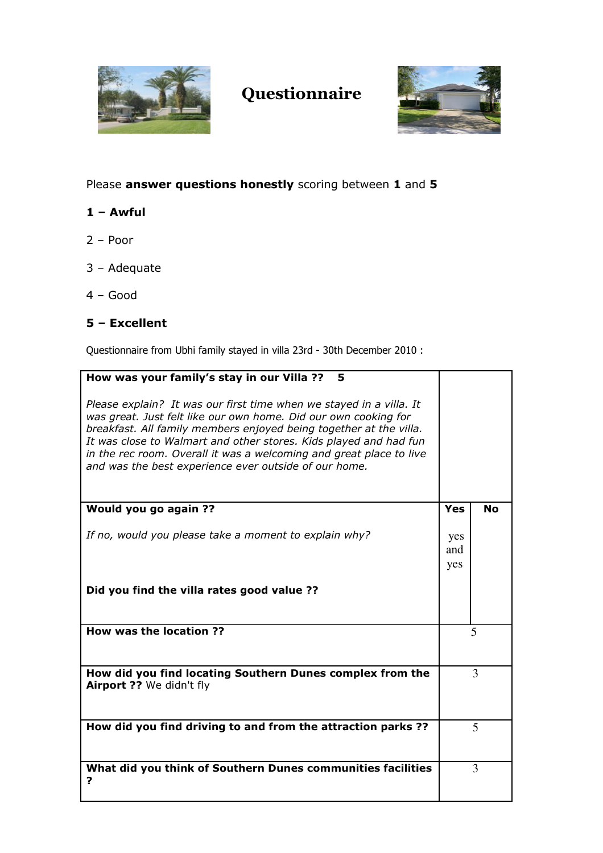

## Questionnaire



## Please answer questions honestly scoring between 1 and 5

## 1 – Awful

- 2 Poor
- 3 Adequate
- 4 Good

## 5 – Excellent

Questionnaire from Ubhi family stayed in villa 23rd - 30th December 2010 :

| How was your family's stay in our Villa ??<br>5                                                                                                                                                                                                                                                                                                                                                                   |     |           |
|-------------------------------------------------------------------------------------------------------------------------------------------------------------------------------------------------------------------------------------------------------------------------------------------------------------------------------------------------------------------------------------------------------------------|-----|-----------|
|                                                                                                                                                                                                                                                                                                                                                                                                                   |     |           |
|                                                                                                                                                                                                                                                                                                                                                                                                                   |     |           |
| Please explain? It was our first time when we stayed in a villa. It<br>was great. Just felt like our own home. Did our own cooking for<br>breakfast. All family members enjoyed being together at the villa.<br>It was close to Walmart and other stores. Kids played and had fun<br>in the rec room. Overall it was a welcoming and great place to live<br>and was the best experience ever outside of our home. |     |           |
|                                                                                                                                                                                                                                                                                                                                                                                                                   |     |           |
| Would you go again ??                                                                                                                                                                                                                                                                                                                                                                                             | Yes | <b>No</b> |
|                                                                                                                                                                                                                                                                                                                                                                                                                   |     |           |
| If no, would you please take a moment to explain why?                                                                                                                                                                                                                                                                                                                                                             | yes |           |
|                                                                                                                                                                                                                                                                                                                                                                                                                   |     |           |
|                                                                                                                                                                                                                                                                                                                                                                                                                   | and |           |
|                                                                                                                                                                                                                                                                                                                                                                                                                   | yes |           |
|                                                                                                                                                                                                                                                                                                                                                                                                                   |     |           |
| Did you find the villa rates good value ??                                                                                                                                                                                                                                                                                                                                                                        |     |           |
| How was the location ??                                                                                                                                                                                                                                                                                                                                                                                           | 5   |           |
|                                                                                                                                                                                                                                                                                                                                                                                                                   |     |           |
| How did you find locating Southern Dunes complex from the                                                                                                                                                                                                                                                                                                                                                         | 3   |           |
| Airport ?? We didn't fly                                                                                                                                                                                                                                                                                                                                                                                          |     |           |
| How did you find driving to and from the attraction parks ??                                                                                                                                                                                                                                                                                                                                                      |     | 5         |
|                                                                                                                                                                                                                                                                                                                                                                                                                   |     |           |
| What did you think of Southern Dunes communities facilities                                                                                                                                                                                                                                                                                                                                                       |     | 3         |
| ?                                                                                                                                                                                                                                                                                                                                                                                                                 |     |           |